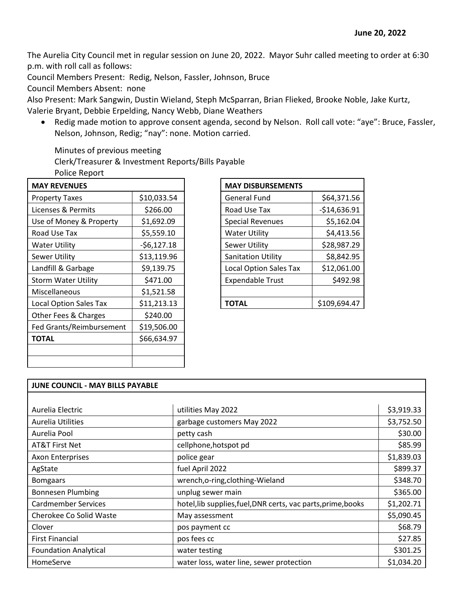The Aurelia City Council met in regular session on June 20, 2022. Mayor Suhr called meeting to order at 6:30 p.m. with roll call as follows:

Council Members Present: Redig, Nelson, Fassler, Johnson, Bruce

Council Members Absent: none

Also Present: Mark Sangwin, Dustin Wieland, Steph McSparran, Brian Flieked, Brooke Noble, Jake Kurtz, Valerie Bryant, Debbie Erpelding, Nancy Webb, Diane Weathers

• Redig made motion to approve consent agenda, second by Nelson. Roll call vote: "aye": Bruce, Fassler, Nelson, Johnson, Redig; "nay": none. Motion carried.

Minutes of previous meeting

Clerk/Treasurer & Investment Reports/Bills Payable

| \$10,033.54  | <b>General Fund</b>       | \$64,371.56                                               |
|--------------|---------------------------|-----------------------------------------------------------|
| \$266.00     | Road Use Tax              | $-$14,636.91$                                             |
| \$1,692.09   | <b>Special Revenues</b>   | \$5,162.04                                                |
| \$5,559.10   | <b>Water Utility</b>      | \$4,413.56                                                |
| $-56,127.18$ | <b>Sewer Utility</b>      | \$28,987.29                                               |
| \$13,119.96  | <b>Sanitation Utility</b> | \$8,842.95                                                |
| \$9,139.75   |                           | \$12,061.00                                               |
| \$471.00     | <b>Expendable Trust</b>   | \$492.98                                                  |
| \$1,521.58   |                           |                                                           |
| \$11,213.13  | <b>TOTAL</b>              | \$109,694.47                                              |
| \$240.00     |                           |                                                           |
| \$19,506.00  |                           |                                                           |
| \$66,634.97  |                           |                                                           |
|              |                           |                                                           |
|              |                           |                                                           |
|              |                           | <b>MAY DISBURSEMENTS</b><br><b>Local Option Sales Tax</b> |

| <b>MAY DISBURSEMENTS</b>      |               |
|-------------------------------|---------------|
| General Fund                  | \$64,371.56   |
| Road Use Tax                  | $-$14,636.91$ |
| <b>Special Revenues</b>       | \$5,162.04    |
| <b>Water Utility</b>          | \$4,413.56    |
| <b>Sewer Utility</b>          | \$28,987.29   |
| <b>Sanitation Utility</b>     | \$8,842.95    |
| <b>Local Option Sales Tax</b> | \$12,061.00   |
| <b>Expendable Trust</b>       | \$492.98      |
|                               |               |
| TOTAL                         | \$109,694.47  |

| JUNE COUNCIL - MAY BILLS PAYABLE |                                                               |            |  |  |
|----------------------------------|---------------------------------------------------------------|------------|--|--|
|                                  |                                                               |            |  |  |
| Aurelia Electric                 | utilities May 2022                                            | \$3,919.33 |  |  |
| <b>Aurelia Utilities</b>         | garbage customers May 2022                                    | \$3,752.50 |  |  |
| Aurelia Pool                     | petty cash                                                    | \$30.00    |  |  |
| AT&T First Net                   | cellphone, hotspot pd                                         | \$85.99    |  |  |
| <b>Axon Enterprises</b>          | police gear                                                   | \$1,839.03 |  |  |
| AgState                          | fuel April 2022                                               | \$899.37   |  |  |
| <b>Bomgaars</b>                  | wrench, o-ring, clothing-Wieland                              | \$348.70   |  |  |
| <b>Bonnesen Plumbing</b>         | unplug sewer main                                             | \$365.00   |  |  |
| <b>Cardmember Services</b>       | hotel, lib supplies, fuel, DNR certs, vac parts, prime, books | \$1,202.71 |  |  |
| Cherokee Co Solid Waste          | May assessment                                                | \$5,090.45 |  |  |
| Clover                           | pos payment cc                                                | \$68.79    |  |  |
| <b>First Financial</b>           | pos fees cc                                                   | \$27.85    |  |  |
| <b>Foundation Analytical</b>     | water testing                                                 | \$301.25   |  |  |
| HomeServe                        | water loss, water line, sewer protection                      | \$1,034.20 |  |  |